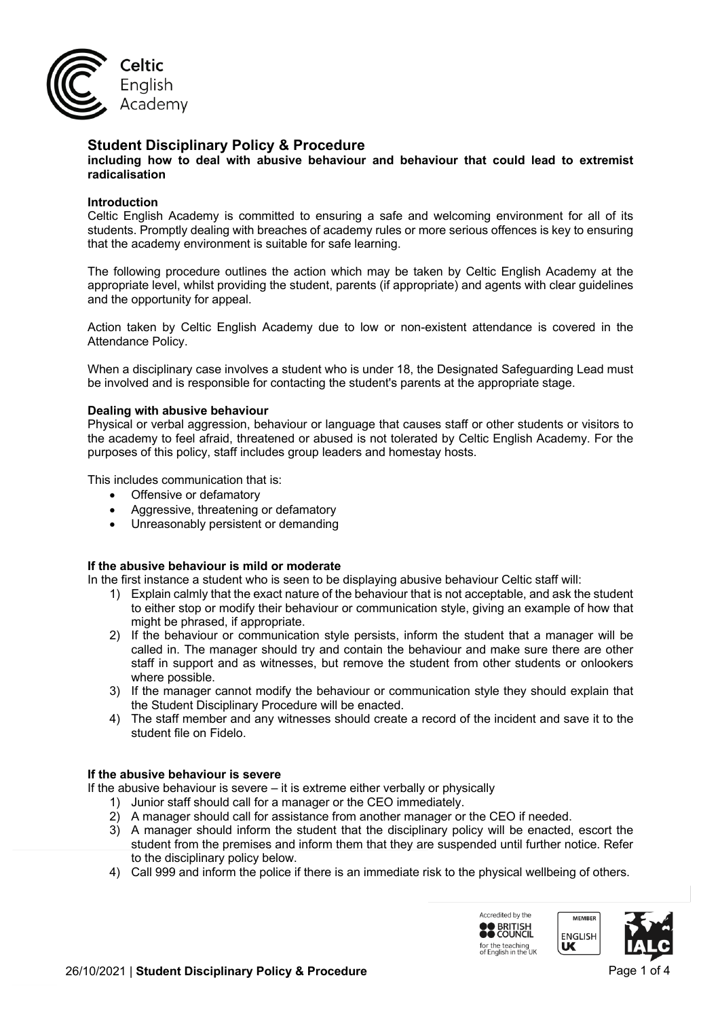

# **Student Disciplinary Policy & Procedure**

**including how to deal with abusive behaviour and behaviour that could lead to extremist radicalisation** 

### **Introduction**

Celtic English Academy is committed to ensuring a safe and welcoming environment for all of its students. Promptly dealing with breaches of academy rules or more serious offences is key to ensuring that the academy environment is suitable for safe learning.

The following procedure outlines the action which may be taken by Celtic English Academy at the appropriate level, whilst providing the student, parents (if appropriate) and agents with clear guidelines and the opportunity for appeal.

Action taken by Celtic English Academy due to low or non-existent attendance is covered in the Attendance Policy.

When a disciplinary case involves a student who is under 18, the Designated Safeguarding Lead must be involved and is responsible for contacting the student's parents at the appropriate stage.

#### **Dealing with abusive behaviour**

Physical or verbal aggression, behaviour or language that causes staff or other students or visitors to the academy to feel afraid, threatened or abused is not tolerated by Celtic English Academy. For the purposes of this policy, staff includes group leaders and homestay hosts.

This includes communication that is:

- Offensive or defamatory
- Aggressive, threatening or defamatory
- Unreasonably persistent or demanding

#### **If the abusive behaviour is mild or moderate**

In the first instance a student who is seen to be displaying abusive behaviour Celtic staff will:

- 1) Explain calmly that the exact nature of the behaviour that is not acceptable, and ask the student to either stop or modify their behaviour or communication style, giving an example of how that might be phrased, if appropriate.
- 2) If the behaviour or communication style persists, inform the student that a manager will be called in. The manager should try and contain the behaviour and make sure there are other staff in support and as witnesses, but remove the student from other students or onlookers where possible.
- 3) If the manager cannot modify the behaviour or communication style they should explain that the Student Disciplinary Procedure will be enacted.
- 4) The staff member and any witnesses should create a record of the incident and save it to the student file on Fidelo.

### **If the abusive behaviour is severe**

If the abusive behaviour is severe – it is extreme either verbally or physically

- 1) Junior staff should call for a manager or the CEO immediately.
- 2) A manager should call for assistance from another manager or the CEO if needed.
- 3) A manager should inform the student that the disciplinary policy will be enacted, escort the student from the premises and inform them that they are suspended until further notice. Refer to the disciplinary policy below.
- 4) Call 999 and inform the police if there is an immediate risk to the physical wellbeing of others.

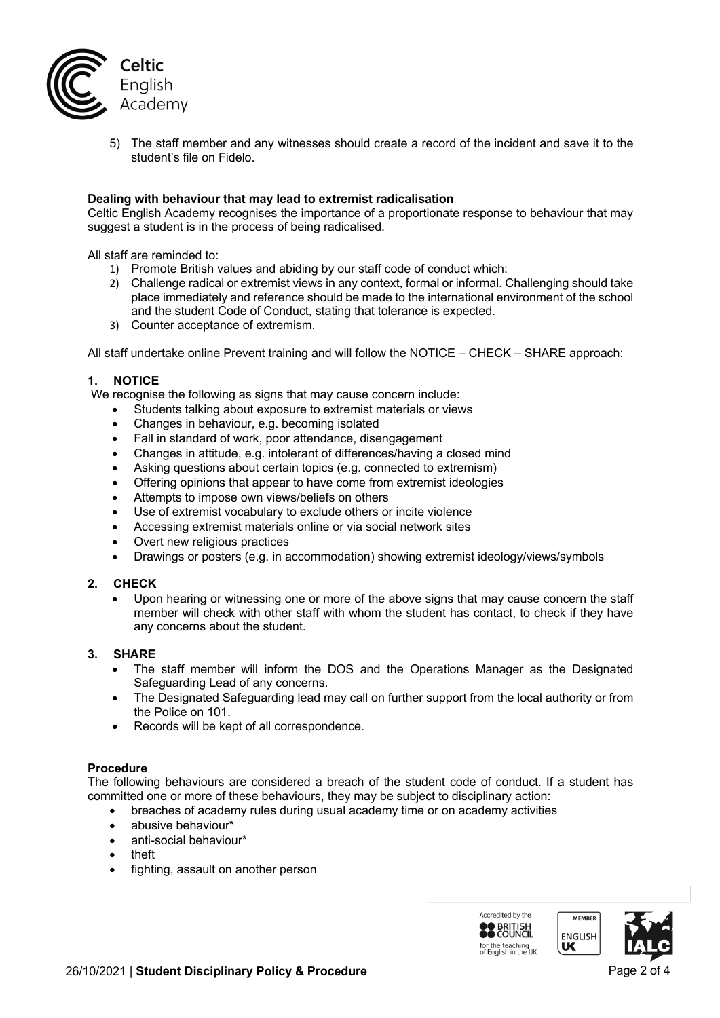

5) The staff member and any witnesses should create a record of the incident and save it to the student's file on Fidelo.

## **Dealing with behaviour that may lead to extremist radicalisation**

Celtic English Academy recognises the importance of a proportionate response to behaviour that may suggest a student is in the process of being radicalised.

All staff are reminded to:

- 1) Promote British values and abiding by our staff code of conduct which:
- 2) Challenge radical or extremist views in any context, formal or informal. Challenging should take place immediately and reference should be made to the international environment of the school and the student Code of Conduct, stating that tolerance is expected.
- 3) Counter acceptance of extremism.

All staff undertake online Prevent training and will follow the NOTICE – CHECK – SHARE approach:

# **1. NOTICE**

We recognise the following as signs that may cause concern include:

- Students talking about exposure to extremist materials or views
- Changes in behaviour, e.g. becoming isolated
- Fall in standard of work, poor attendance, disengagement
- Changes in attitude, e.g. intolerant of differences/having a closed mind
- Asking questions about certain topics (e.g. connected to extremism)
- Offering opinions that appear to have come from extremist ideologies
- Attempts to impose own views/beliefs on others
- Use of extremist vocabulary to exclude others or incite violence
- Accessing extremist materials online or via social network sites
- Overt new religious practices
- Drawings or posters (e.g. in accommodation) showing extremist ideology/views/symbols

# **2. CHECK**

• Upon hearing or witnessing one or more of the above signs that may cause concern the staff member will check with other staff with whom the student has contact, to check if they have any concerns about the student.

# **3. SHARE**

- The staff member will inform the DOS and the Operations Manager as the Designated Safeguarding Lead of any concerns.
- The Designated Safeguarding lead may call on further support from the local authority or from the Police on 101.
- Records will be kept of all correspondence.

#### **Procedure**

The following behaviours are considered a breach of the student code of conduct. If a student has committed one or more of these behaviours, they may be subject to disciplinary action:

- breaches of academy rules during usual academy time or on academy activities
- abusive behaviour\*
- anti-social behaviour\*
- theft
- fighting, assault on another person

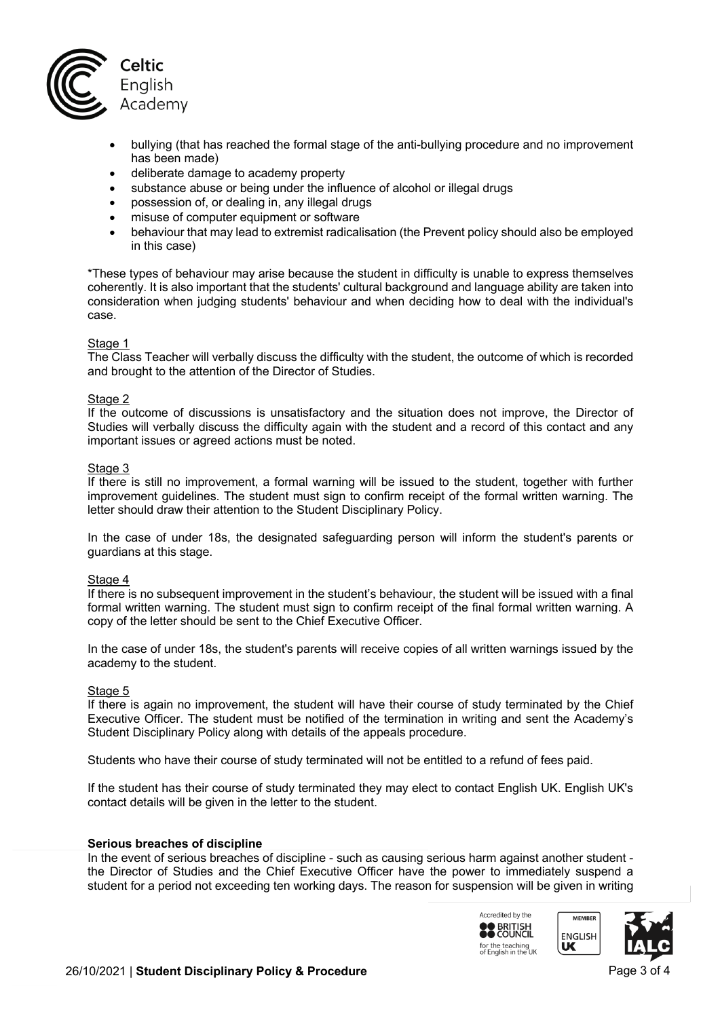

- bullying (that has reached the formal stage of the anti-bullying procedure and no improvement has been made)
- deliberate damage to academy property
- substance abuse or being under the influence of alcohol or illegal drugs
- possession of, or dealing in, any illegal drugs
- misuse of computer equipment or software
- behaviour that may lead to extremist radicalisation (the Prevent policy should also be employed in this case)

\*These types of behaviour may arise because the student in difficulty is unable to express themselves coherently. It is also important that the students' cultural background and language ability are taken into consideration when judging students' behaviour and when deciding how to deal with the individual's case.

#### Stage 1

The Class Teacher will verbally discuss the difficulty with the student, the outcome of which is recorded and brought to the attention of the Director of Studies.

#### Stage 2

If the outcome of discussions is unsatisfactory and the situation does not improve, the Director of Studies will verbally discuss the difficulty again with the student and a record of this contact and any important issues or agreed actions must be noted.

#### Stage 3

If there is still no improvement, a formal warning will be issued to the student, together with further improvement guidelines. The student must sign to confirm receipt of the formal written warning. The letter should draw their attention to the Student Disciplinary Policy.

In the case of under 18s, the designated safeguarding person will inform the student's parents or guardians at this stage.

#### Stage 4

If there is no subsequent improvement in the student's behaviour, the student will be issued with a final formal written warning. The student must sign to confirm receipt of the final formal written warning. A copy of the letter should be sent to the Chief Executive Officer.

In the case of under 18s, the student's parents will receive copies of all written warnings issued by the academy to the student.

#### Stage 5

If there is again no improvement, the student will have their course of study terminated by the Chief Executive Officer. The student must be notified of the termination in writing and sent the Academy's Student Disciplinary Policy along with details of the appeals procedure.

Students who have their course of study terminated will not be entitled to a refund of fees paid.

If the student has their course of study terminated they may elect to contact English UK. English UK's contact details will be given in the letter to the student.

#### **Serious breaches of discipline**

In the event of serious breaches of discipline - such as causing serious harm against another student the Director of Studies and the Chief Executive Officer have the power to immediately suspend a student for a period not exceeding ten working days. The reason for suspension will be given in writing